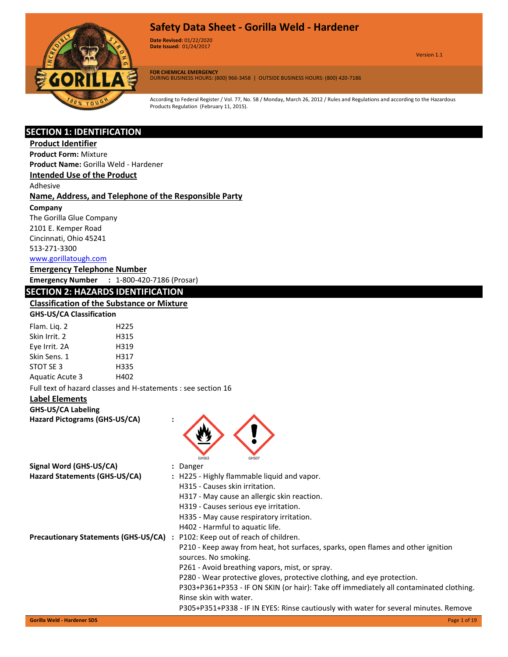

**Date Revised:** 01/22/2020 Version 1.0 **Date Issued:** 01/24/2017

Version 1.1

**FOR CHEMICAL EMERGENCY** DURING BUSINESS HOURS: (800) 966-3458 | OUTSIDE BUSINESS HOURS: (800) 420-7186

According to Federal Register / Vol. 77, No. 58 / Monday, March 26, 2012 / Rules and Regulations and according to the Hazardous Products Regulation (February 11, 2015).

#### **SECTION 1: IDENTIFICATION**

### **Product Identifier**

**Product Form:** Mixture

**Product Name:** Gorilla Weld - Hardener

**Intended Use of the Product**

Adhesive

#### **Name, Address, and Telephone of the Responsible Party**

**Company** 

The Gorilla Glue Company 2101 E. Kemper Road Cincinnati, Ohio 45241 513-271-3300 [www.gorillatough.com](http://www.gorillatough.com/)

#### **Emergency Telephone Number**

**Emergency Number :** 1-800-420-7186 (Prosar)

#### **SECTION 2: HAZARDS IDENTIFICATION**

# **Classification of the Substance or Mixture**

| <b>GHS-US/CA Classification</b> |  |
|---------------------------------|--|
|---------------------------------|--|

| Flam. Liq. 2    | H225 |
|-----------------|------|
| Skin Irrit. 2   | H315 |
| Eye Irrit. 2A   | H319 |
| Skin Sens. 1    | H317 |
| STOT SE 3       | H335 |
| Aquatic Acute 3 | H402 |

Full text of hazard classes and H-statements : see section 16

#### **Label Elements**

#### **GHS-US/CA Labeling**

**Hazard Pictograms (GHS-US/CA) :**

| Signal Word (GHS-US/CA)                     | GHS02<br>GHS07<br>: Danger                                                             |
|---------------------------------------------|----------------------------------------------------------------------------------------|
| Hazard Statements (GHS-US/CA)               | : H225 - Highly flammable liquid and vapor.                                            |
|                                             | H315 - Causes skin irritation.                                                         |
|                                             | H317 - May cause an allergic skin reaction.                                            |
|                                             | H319 - Causes serious eye irritation.                                                  |
|                                             | H335 - May cause respiratory irritation.                                               |
|                                             | H402 - Harmful to aquatic life.                                                        |
| <b>Precautionary Statements (GHS-US/CA)</b> | : P102: Keep out of reach of children.                                                 |
|                                             | P210 - Keep away from heat, hot surfaces, sparks, open flames and other ignition       |
|                                             | sources. No smoking.                                                                   |
|                                             | P261 - Avoid breathing vapors, mist, or spray.                                         |
|                                             | P280 - Wear protective gloves, protective clothing, and eye protection.                |
|                                             | P303+P361+P353 - IF ON SKIN (or hair): Take off immediately all contaminated clothing. |
|                                             | Rinse skin with water.                                                                 |
|                                             | P305+P351+P338 - IF IN EYES: Rinse cautiously with water for several minutes. Remove   |
| <b>Gorilla Weld - Hardener SDS</b>          | Page 1 of 19                                                                           |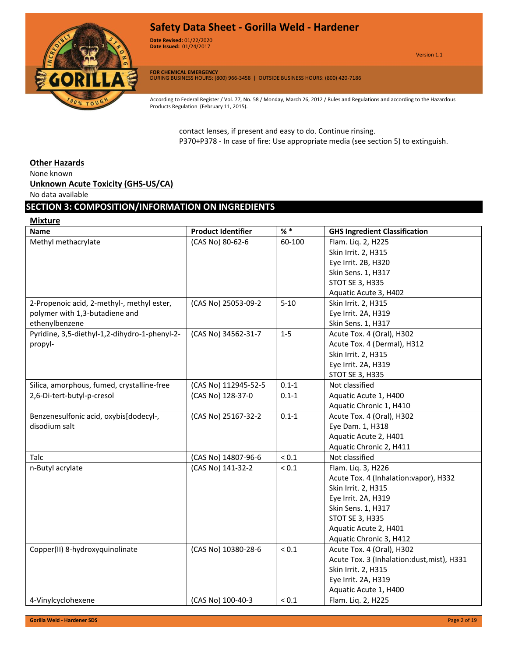

**Date Revised:** 01/22/2020 Version 1.0 **Date Issued:** 01/24/2017

**FOR CHEMICAL EMERGENCY** DURING BUSINESS HOURS: (800) 966-3458 | OUTSIDE BUSINESS HOURS: (800) 420-7186

According to Federal Register / Vol. 77, No. 58 / Monday, March 26, 2012 / Rules and Regulations and according to the Hazardous Products Regulation (February 11, 2015).

contact lenses, if present and easy to do. Continue rinsing. P370+P378 - In case of fire: Use appropriate media (see section 5) to extinguish.

#### **Other Hazards**

None known

#### **Unknown Acute Toxicity (GHS-US/CA)**

No data available

### **SECTION 3: COMPOSITION/INFORMATION ON INGREDIENTS**

#### **Mixture**

| <b>Name</b>                                   | <b>Product Identifier</b> | $%$ *      | <b>GHS Ingredient Classification</b>       |
|-----------------------------------------------|---------------------------|------------|--------------------------------------------|
| Methyl methacrylate                           | (CAS No) 80-62-6          | 60-100     | Flam. Lig. 2, H225                         |
|                                               |                           |            | Skin Irrit. 2, H315                        |
|                                               |                           |            | Eye Irrit. 2B, H320                        |
|                                               |                           |            | Skin Sens. 1, H317                         |
|                                               |                           |            | <b>STOT SE 3, H335</b>                     |
|                                               |                           |            | Aquatic Acute 3, H402                      |
| 2-Propenoic acid, 2-methyl-, methyl ester,    | (CAS No) 25053-09-2       | $5 - 10$   | Skin Irrit. 2, H315                        |
| polymer with 1,3-butadiene and                |                           |            | Eye Irrit. 2A, H319                        |
| ethenylbenzene                                |                           |            | Skin Sens. 1, H317                         |
| Pyridine, 3,5-diethyl-1,2-dihydro-1-phenyl-2- | (CAS No) 34562-31-7       | $1 - 5$    | Acute Tox. 4 (Oral), H302                  |
| propyl-                                       |                           |            | Acute Tox. 4 (Dermal), H312                |
|                                               |                           |            | Skin Irrit. 2, H315                        |
|                                               |                           |            | Eye Irrit. 2A, H319                        |
|                                               |                           |            | STOT SE 3, H335                            |
| Silica, amorphous, fumed, crystalline-free    | (CAS No) 112945-52-5      | $0.1 - 1$  | Not classified                             |
| 2,6-Di-tert-butyl-p-cresol                    | (CAS No) 128-37-0         | $0.1 - 1$  | Aquatic Acute 1, H400                      |
|                                               |                           |            | Aquatic Chronic 1, H410                    |
| Benzenesulfonic acid, oxybis[dodecyl-,        | (CAS No) 25167-32-2       | $0.1 - 1$  | Acute Tox. 4 (Oral), H302                  |
| disodium salt                                 |                           |            | Eye Dam. 1, H318                           |
|                                               |                           |            | Aquatic Acute 2, H401                      |
|                                               |                           |            | Aquatic Chronic 2, H411                    |
| Talc                                          | (CAS No) 14807-96-6       | ${}_{0.1}$ | Not classified                             |
| n-Butyl acrylate                              | (CAS No) 141-32-2         | ${}_{0.1}$ | Flam. Liq. 3, H226                         |
|                                               |                           |            | Acute Tox. 4 (Inhalation: vapor), H332     |
|                                               |                           |            | Skin Irrit. 2, H315                        |
|                                               |                           |            | Eye Irrit. 2A, H319                        |
|                                               |                           |            | Skin Sens. 1, H317                         |
|                                               |                           |            | STOT SE 3, H335                            |
|                                               |                           |            | Aquatic Acute 2, H401                      |
|                                               |                           |            | Aquatic Chronic 3, H412                    |
| Copper(II) 8-hydroxyquinolinate               | (CAS No) 10380-28-6       | ${}_{0.1}$ | Acute Tox. 4 (Oral), H302                  |
|                                               |                           |            | Acute Tox. 3 (Inhalation:dust, mist), H331 |
|                                               |                           |            | Skin Irrit. 2, H315                        |
|                                               |                           |            | Eye Irrit. 2A, H319                        |
|                                               |                           |            | Aquatic Acute 1, H400                      |
| 4-Vinylcyclohexene                            | (CAS No) 100-40-3         | ${}_{0.1}$ | Flam. Liq. 2, H225                         |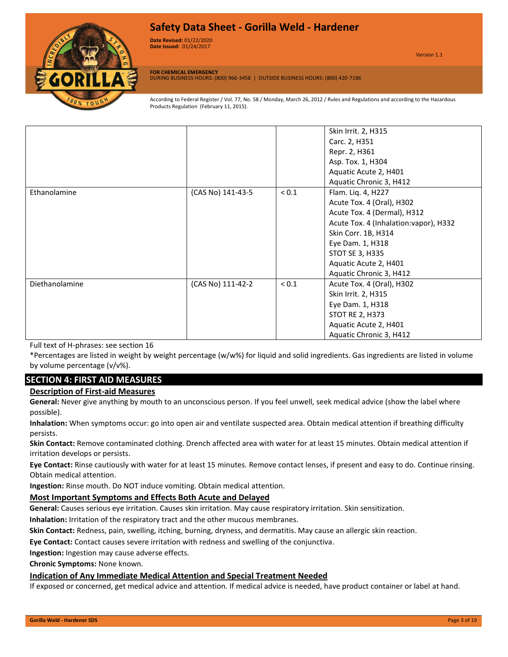

**Date Revised:** 01/22/2020 Version 1.0 **Date Issued:** 01/24/2017

Version 1.1

**FOR CHEMICAL EMERGENCY** DURING BUSINESS HOURS: (800) 966-3458 | OUTSIDE BUSINESS HOURS: (800) 420-7186

According to Federal Register / Vol. 77, No. 58 / Monday, March 26, 2012 / Rules and Regulations and according to the Hazardous Products Regulation (February 11, 2015).

|                |                   |            | Skin Irrit. 2, H315                    |
|----------------|-------------------|------------|----------------------------------------|
|                |                   |            | Carc. 2, H351                          |
|                |                   |            | Repr. 2, H361                          |
|                |                   |            | Asp. Tox. 1, H304                      |
|                |                   |            | Aquatic Acute 2, H401                  |
|                |                   |            | Aquatic Chronic 3, H412                |
| Ethanolamine   | (CAS No) 141-43-5 | ${}_{0.1}$ | Flam. Liq. 4, H227                     |
|                |                   |            | Acute Tox. 4 (Oral), H302              |
|                |                   |            | Acute Tox. 4 (Dermal), H312            |
|                |                   |            | Acute Tox. 4 (Inhalation: vapor), H332 |
|                |                   |            | Skin Corr. 1B, H314                    |
|                |                   |            | Eye Dam. 1, H318                       |
|                |                   |            | <b>STOT SE 3, H335</b>                 |
|                |                   |            | Aquatic Acute 2, H401                  |
|                |                   |            | Aquatic Chronic 3, H412                |
| Diethanolamine | (CAS No) 111-42-2 | ${}_{0.1}$ | Acute Tox. 4 (Oral), H302              |
|                |                   |            | Skin Irrit. 2, H315                    |
|                |                   |            | Eye Dam. 1, H318                       |
|                |                   |            | <b>STOT RE 2, H373</b>                 |
|                |                   |            | Aquatic Acute 2, H401                  |
|                |                   |            | Aquatic Chronic 3, H412                |

Full text of H-phrases: see section 16

\*Percentages are listed in weight by weight percentage (w/w%) for liquid and solid ingredients. Gas ingredients are listed in volume by volume percentage (v/v%).

### **SECTION 4: FIRST AID MEASURES**

#### **Description of First-aid Measures**

**General:** Never give anything by mouth to an unconscious person. If you feel unwell, seek medical advice (show the label where possible).

**Inhalation:** When symptoms occur: go into open air and ventilate suspected area. Obtain medical attention if breathing difficulty persists.

**Skin Contact:** Remove contaminated clothing. Drench affected area with water for at least 15 minutes. Obtain medical attention if irritation develops or persists.

**Eye Contact:** Rinse cautiously with water for at least 15 minutes. Remove contact lenses, if present and easy to do. Continue rinsing. Obtain medical attention.

**Ingestion:** Rinse mouth. Do NOT induce vomiting. Obtain medical attention.

#### **Most Important Symptoms and Effects Both Acute and Delayed**

**General:** Causes serious eye irritation. Causes skin irritation. May cause respiratory irritation. Skin sensitization.

**Inhalation:** Irritation of the respiratory tract and the other mucous membranes.

**Skin Contact:** Redness, pain, swelling, itching, burning, dryness, and dermatitis. May cause an allergic skin reaction.

**Eye Contact:** Contact causes severe irritation with redness and swelling of the conjunctiva.

**Ingestion:** Ingestion may cause adverse effects.

**Chronic Symptoms:** None known.

#### **Indication of Any Immediate Medical Attention and Special Treatment Needed**

If exposed or concerned, get medical advice and attention. If medical advice is needed, have product container or label at hand.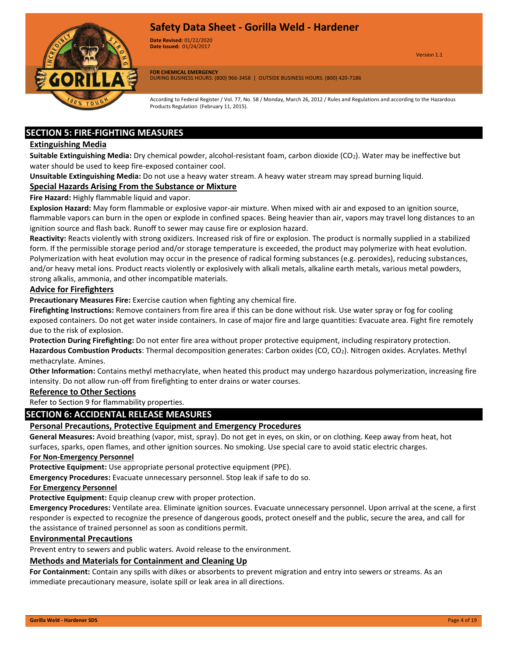

**Date Revised:** 01/22/2020 Version 1.0 **Date Issued:** 01/24/2017

Version 1.1

**FOR CHEMICAL EMERGENCY** DURING BUSINESS HOURS: (800) 966-3458 | OUTSIDE BUSINESS HOURS: (800) 420-7186

According to Federal Register / Vol. 77, No. 58 / Monday, March 26, 2012 / Rules and Regulations and according to the Hazardous Products Regulation (February 11, 2015).

### **SECTION 5: FIRE-FIGHTING MEASURES**

#### **Extinguishing Media**

**Suitable Extinguishing Media:** Dry chemical powder, alcohol-resistant foam, carbon dioxide (CO<sub>2</sub>). Water may be ineffective but water should be used to keep fire-exposed container cool.

**Unsuitable Extinguishing Media:** Do not use a heavy water stream. A heavy water stream may spread burning liquid.

#### **Special Hazards Arising From the Substance or Mixture**

**Fire Hazard:** Highly flammable liquid and vapor.

**Explosion Hazard:** May form flammable or explosive vapor-air mixture. When mixed with air and exposed to an ignition source, flammable vapors can burn in the open or explode in confined spaces. Being heavier than air, vapors may travel long distances to an ignition source and flash back. Runoff to sewer may cause fire or explosion hazard.

**Reactivity:** Reacts violently with strong oxidizers. Increased risk of fire or explosion. The product is normally supplied in a stabilized form. If the permissible storage period and/or storage temperature is exceeded, the product may polymerize with heat evolution. Polymerization with heat evolution may occur in the presence of radical forming substances (e.g. peroxides), reducing substances, and/or heavy metal ions. Product reacts violently or explosively with alkali metals, alkaline earth metals, various metal powders, strong alkalis, ammonia, and other incompatible materials.

#### **Advice for Firefighters**

**Precautionary Measures Fire:** Exercise caution when fighting any chemical fire.

**Firefighting Instructions:** Remove containers from fire area if this can be done without risk. Use water spray or fog for cooling exposed containers. Do not get water inside containers. In case of major fire and large quantities: Evacuate area. Fight fire remotely due to the risk of explosion.

**Protection During Firefighting:** Do not enter fire area without proper protective equipment, including respiratory protection. **Hazardous Combustion Products**: Thermal decomposition generates: Carbon oxides (CO, CO2). Nitrogen oxides. Acrylates. Methyl methacrylate. Amines.

**Other Information:** Contains methyl methacrylate, when heated this product may undergo hazardous polymerization, increasing fire intensity. Do not allow run-off from firefighting to enter drains or water courses.

#### **Reference to Other Sections**

Refer to Section 9 for flammability properties.

#### **SECTION 6: ACCIDENTAL RELEASE MEASURES**

#### **Personal Precautions, Protective Equipment and Emergency Procedures**

**General Measures:** Avoid breathing (vapor, mist, spray). Do not get in eyes, on skin, or on clothing. Keep away from heat, hot surfaces, sparks, open flames, and other ignition sources. No smoking. Use special care to avoid static electric charges.

#### **For Non-Emergency Personnel**

**Protective Equipment:** Use appropriate personal protective equipment (PPE).

**Emergency Procedures:** Evacuate unnecessary personnel. Stop leak if safe to do so.

#### **For Emergency Personnel**

**Protective Equipment:** Equip cleanup crew with proper protection.

**Emergency Procedures:** Ventilate area. Eliminate ignition sources. Evacuate unnecessary personnel. Upon arrival at the scene, a first responder is expected to recognize the presence of dangerous goods, protect oneself and the public, secure the area, and call for the assistance of trained personnel as soon as conditions permit.

#### **Environmental Precautions**

Prevent entry to sewers and public waters. Avoid release to the environment.

#### **Methods and Materials for Containment and Cleaning Up**

**For Containment:** Contain any spills with dikes or absorbents to prevent migration and entry into sewers or streams. As an immediate precautionary measure, isolate spill or leak area in all directions.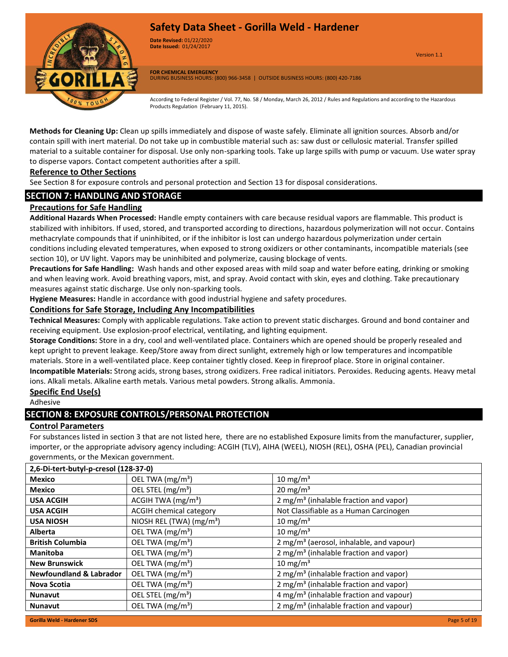

**Date Revised:** 01/22/2020 Version 1.0 **Date Issued:** 01/24/2017

Version 1.1

**FOR CHEMICAL EMERGENCY** DURING BUSINESS HOURS: (800) 966-3458 | OUTSIDE BUSINESS HOURS: (800) 420-7186

According to Federal Register / Vol. 77, No. 58 / Monday, March 26, 2012 / Rules and Regulations and according to the Hazardous Products Regulation (February 11, 2015).

**Methods for Cleaning Up:** Clean up spills immediately and dispose of waste safely. Eliminate all ignition sources. Absorb and/or contain spill with inert material. Do not take up in combustible material such as: saw dust or cellulosic material. Transfer spilled material to a suitable container for disposal. Use only non-sparking tools. Take up large spills with pump or vacuum. Use water spray to disperse vapors. Contact competent authorities after a spill.

#### **Reference to Other Sections**

See Section 8 for exposure controls and personal protection and Section 13 for disposal considerations.

### **SECTION 7: HANDLING AND STORAGE**

#### **Precautions for Safe Handling**

**Additional Hazards When Processed:** Handle empty containers with care because residual vapors are flammable. This product is stabilized with inhibitors. If used, stored, and transported according to directions, hazardous polymerization will not occur. Contains methacrylate compounds that if uninhibited, or if the inhibitor is lost can undergo hazardous polymerization under certain conditions including elevated temperatures, when exposed to strong oxidizers or other contaminants, incompatible materials (see section 10), or UV light. Vapors may be uninhibited and polymerize, causing blockage of vents.

**Precautions for Safe Handling:** Wash hands and other exposed areas with mild soap and water before eating, drinking or smoking and when leaving work. Avoid breathing vapors, mist, and spray. Avoid contact with skin, eyes and clothing. Take precautionary measures against static discharge. Use only non-sparking tools.

**Hygiene Measures:** Handle in accordance with good industrial hygiene and safety procedures.

#### **Conditions for Safe Storage, Including Any Incompatibilities**

**Technical Measures:** Comply with applicable regulations. Take action to prevent static discharges. Ground and bond container and receiving equipment. Use explosion-proof electrical, ventilating, and lighting equipment.

**Storage Conditions:** Store in a dry, cool and well-ventilated place. Containers which are opened should be properly resealed and kept upright to prevent leakage. Keep/Store away from direct sunlight, extremely high or low temperatures and incompatible materials. Store in a well-ventilated place. Keep container tightly closed. Keep in fireproof place. Store in original container.

**Incompatible Materials:** Strong acids, strong bases, strong oxidizers. Free radical initiators. Peroxides. Reducing agents. Heavy metal ions. Alkali metals. Alkaline earth metals. Various metal powders. Strong alkalis. Ammonia.

#### **Specific End Use(s)**

Adhesive

#### **SECTION 8: EXPOSURE CONTROLS/PERSONAL PROTECTION**

#### **Control Parameters**

For substances listed in section 3 that are not listed here, there are no established Exposure limits from the manufacturer, supplier, importer, or the appropriate advisory agency including: ACGIH (TLV), AIHA (WEEL), NIOSH (REL), OSHA (PEL), Canadian provincial governments, or the Mexican government.

| 2,6-Di-tert-butyl-p-cresol (128-37-0) |                                      |                                                      |  |  |
|---------------------------------------|--------------------------------------|------------------------------------------------------|--|--|
| <b>Mexico</b>                         | OEL TWA (mg/m <sup>3</sup> )         | 10 mg/m $3$                                          |  |  |
| <b>Mexico</b>                         | OEL STEL $(mg/m3)$                   | 20 mg/m <sup>3</sup>                                 |  |  |
| <b>USA ACGIH</b>                      | ACGIH TWA (mg/m <sup>3</sup> )       | 2 mg/m <sup>3</sup> (inhalable fraction and vapor)   |  |  |
| <b>USA ACGIH</b>                      | <b>ACGIH chemical category</b>       | Not Classifiable as a Human Carcinogen               |  |  |
| <b>USA NIOSH</b>                      | NIOSH REL (TWA) (mg/m <sup>3</sup> ) | 10 mg/m <sup>3</sup>                                 |  |  |
| <b>Alberta</b>                        | OEL TWA (mg/m <sup>3</sup> )         | 10 mg/m <sup>3</sup>                                 |  |  |
| <b>British Columbia</b>               | OEL TWA (mg/m <sup>3</sup> )         | 2 mg/m <sup>3</sup> (aerosol, inhalable, and vapour) |  |  |
| <b>Manitoba</b>                       | OEL TWA (mg/m <sup>3</sup> )         | 2 mg/m <sup>3</sup> (inhalable fraction and vapor)   |  |  |
| <b>New Brunswick</b>                  | OEL TWA (mg/m <sup>3</sup> )         | 10 mg/m <sup>3</sup>                                 |  |  |
| <b>Newfoundland &amp; Labrador</b>    | OEL TWA (mg/m <sup>3</sup> )         | 2 mg/m <sup>3</sup> (inhalable fraction and vapor)   |  |  |
| Nova Scotia                           | OEL TWA (mg/m <sup>3</sup> )         | 2 mg/m <sup>3</sup> (inhalable fraction and vapor)   |  |  |
| <b>Nunavut</b>                        | OEL STEL (mg/m <sup>3</sup> )        | 4 mg/m <sup>3</sup> (inhalable fraction and vapour)  |  |  |
| <b>Nunavut</b>                        | OEL TWA $(mg/m3)$                    | 2 mg/m <sup>3</sup> (inhalable fraction and vapour)  |  |  |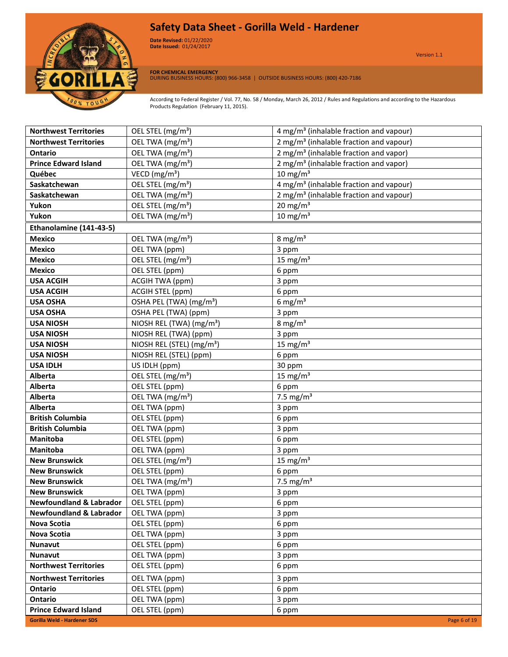

**Date Revised:** 01/22/2020 Version 1.0 **Date Issued:** 01/24/2017

**FOR CHEMICAL EMERGENCY** DURING BUSINESS HOURS: (800) 966-3458 | OUTSIDE BUSINESS HOURS: (800) 420-7186

| <b>Northwest Territories</b>       | OEL STEL (mg/m <sup>3</sup> )         | 4 mg/m <sup>3</sup> (inhalable fraction and vapour) |
|------------------------------------|---------------------------------------|-----------------------------------------------------|
| <b>Northwest Territories</b>       | OEL TWA (mg/m <sup>3</sup> )          | 2 mg/m <sup>3</sup> (inhalable fraction and vapour) |
| <b>Ontario</b>                     | OEL TWA (mg/m <sup>3</sup> )          | 2 mg/m <sup>3</sup> (inhalable fraction and vapor)  |
| <b>Prince Edward Island</b>        | OEL TWA (mg/m <sup>3</sup> )          | 2 mg/m <sup>3</sup> (inhalable fraction and vapor)  |
| Québec                             | VECD ( $mg/m3$ )                      | $10 \text{ mg/m}^3$                                 |
| Saskatchewan                       | OEL STEL (mg/m <sup>3</sup> )         | 4 mg/m <sup>3</sup> (inhalable fraction and vapour) |
| Saskatchewan                       | OEL TWA (mg/m <sup>3</sup> )          | 2 mg/m <sup>3</sup> (inhalable fraction and vapour) |
| Yukon                              | OEL STEL (mg/m <sup>3</sup> )         | 20 mg/m $3$                                         |
| Yukon                              | OEL TWA (mg/m <sup>3</sup> )          | 10 mg/m $3$                                         |
| Ethanolamine (141-43-5)            |                                       |                                                     |
| <b>Mexico</b>                      | OEL TWA (mg/m <sup>3</sup> )          | 8 mg/ $m3$                                          |
| <b>Mexico</b>                      | OEL TWA (ppm)                         | 3 ppm                                               |
| <b>Mexico</b>                      | OEL STEL (mg/m <sup>3</sup> )         | 15 mg/m <sup>3</sup>                                |
| <b>Mexico</b>                      | OEL STEL (ppm)                        | 6 ppm                                               |
| <b>USA ACGIH</b>                   | <b>ACGIH TWA (ppm)</b>                | 3 ppm                                               |
| <b>USA ACGIH</b>                   | ACGIH STEL (ppm)                      | 6 ppm                                               |
| <b>USA OSHA</b>                    | OSHA PEL (TWA) (mg/m <sup>3</sup> )   | 6 mg/ $m3$                                          |
| <b>USA OSHA</b>                    | OSHA PEL (TWA) (ppm)                  | 3 ppm                                               |
| <b>USA NIOSH</b>                   | NIOSH REL (TWA) (mg/m <sup>3</sup> )  | 8 mg/ $m3$                                          |
| <b>USA NIOSH</b>                   | NIOSH REL (TWA) (ppm)                 | 3 ppm                                               |
| <b>USA NIOSH</b>                   | NIOSH REL (STEL) (mg/m <sup>3</sup> ) | 15 mg/m <sup>3</sup>                                |
| <b>USA NIOSH</b>                   | NIOSH REL (STEL) (ppm)                | 6 ppm                                               |
| <b>USA IDLH</b>                    | US IDLH (ppm)                         | 30 ppm                                              |
| <b>Alberta</b>                     | OEL STEL (mg/m <sup>3</sup> )         | 15 mg/ $m3$                                         |
| <b>Alberta</b>                     | OEL STEL (ppm)                        | 6 ppm                                               |
| <b>Alberta</b>                     | OEL TWA (mg/m <sup>3</sup> )          | 7.5 mg/ $m3$                                        |
| Alberta                            | OEL TWA (ppm)                         | 3 ppm                                               |
| <b>British Columbia</b>            | OEL STEL (ppm)                        | 6 ppm                                               |
| <b>British Columbia</b>            | OEL TWA (ppm)                         | 3 ppm                                               |
| Manitoba                           | OEL STEL (ppm)                        | 6 ppm                                               |
| <b>Manitoba</b>                    | OEL TWA (ppm)                         | 3 ppm                                               |
| <b>New Brunswick</b>               | OEL STEL (mg/m <sup>3</sup> )         | 15 mg/m $3$                                         |
| <b>New Brunswick</b>               | OEL STEL (ppm)                        | 6 ppm                                               |
| <b>New Brunswick</b>               | OEL TWA (mg/m <sup>3</sup> )          | $\frac{1}{7}$ .5 mg/m <sup>3</sup>                  |
| <b>New Brunswick</b>               | OEL TWA (ppm)                         | 3 ppm                                               |
| <b>Newfoundland &amp; Labrador</b> | OEL STEL (ppm)                        | 6 ppm                                               |
| <b>Newfoundland &amp; Labrador</b> | OEL TWA (ppm)                         | 3 ppm                                               |
| <b>Nova Scotia</b>                 | OEL STEL (ppm)                        | 6 ppm                                               |
| Nova Scotia                        | OEL TWA (ppm)                         | 3 ppm                                               |
| <b>Nunavut</b>                     | OEL STEL (ppm)                        | 6 ppm                                               |
| <b>Nunavut</b>                     | OEL TWA (ppm)                         | 3 ppm                                               |
| <b>Northwest Territories</b>       | OEL STEL (ppm)                        | 6 ppm                                               |
| <b>Northwest Territories</b>       | OEL TWA (ppm)                         | 3 ppm                                               |
| Ontario                            | OEL STEL (ppm)                        | 6 ppm                                               |
| Ontario                            | OEL TWA (ppm)                         | 3 ppm                                               |
| <b>Prince Edward Island</b>        | OEL STEL (ppm)                        | 6 ppm                                               |
| <b>Gorilla Weld - Hardener SDS</b> |                                       | Page 6 of 19                                        |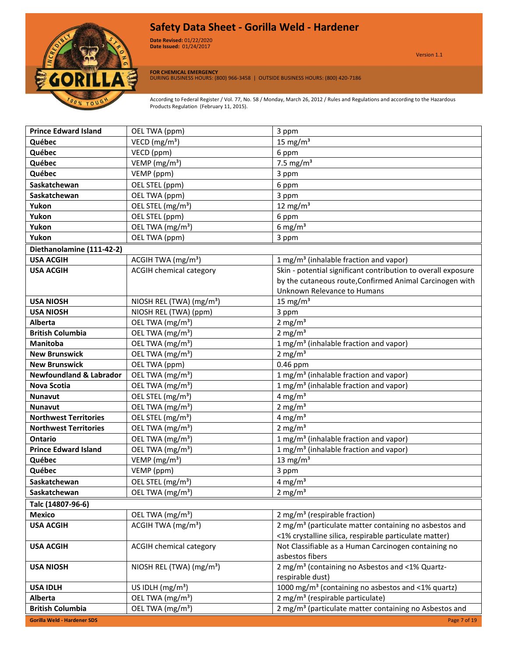

**Date Revised:** 01/22/2020 Version 1.0 **Date Issued:** 01/24/2017

Version 1.1

**FOR CHEMICAL EMERGENCY** DURING BUSINESS HOURS: (800) 966-3458 | OUTSIDE BUSINESS HOURS: (800) 420-7186

| <b>Prince Edward Island</b>        | OEL TWA (ppm)                        | 3 ppm                                                                                                                        |
|------------------------------------|--------------------------------------|------------------------------------------------------------------------------------------------------------------------------|
| Québec                             | VECD ( $mg/m3$ )                     | 15 mg/ $m3$                                                                                                                  |
| Québec                             | VECD (ppm)                           | 6 ppm                                                                                                                        |
| Québec                             | VEMP (mg/m <sup>3</sup> )            | 7.5 mg/ $m3$                                                                                                                 |
| Québec                             | VEMP (ppm)                           | 3 ppm                                                                                                                        |
| Saskatchewan                       | OEL STEL (ppm)                       | 6 ppm                                                                                                                        |
| Saskatchewan                       | OEL TWA (ppm)                        | 3 ppm                                                                                                                        |
| Yukon                              | OEL STEL (mg/m <sup>3</sup> )        | 12 mg/m $3$                                                                                                                  |
| Yukon                              | OEL STEL (ppm)                       | 6 ppm                                                                                                                        |
| Yukon                              | OEL TWA (mg/m <sup>3</sup> )         | 6 mg/m $3$                                                                                                                   |
| Yukon                              | OEL TWA (ppm)                        | 3 ppm                                                                                                                        |
| Diethanolamine (111-42-2)          |                                      |                                                                                                                              |
| <b>USA ACGIH</b>                   | ACGIH TWA (mg/m <sup>3</sup> )       | 1 mg/m <sup>3</sup> (inhalable fraction and vapor)                                                                           |
| <b>USA ACGIH</b>                   | <b>ACGIH chemical category</b>       | Skin - potential significant contribution to overall exposure                                                                |
|                                    |                                      | by the cutaneous route, Confirmed Animal Carcinogen with                                                                     |
|                                    |                                      | Unknown Relevance to Humans                                                                                                  |
| <b>USA NIOSH</b>                   | NIOSH REL (TWA) (mg/m <sup>3</sup> ) | 15 mg/ $m3$                                                                                                                  |
| <b>USA NIOSH</b>                   | NIOSH REL (TWA) (ppm)                | 3 ppm                                                                                                                        |
| <b>Alberta</b>                     | OEL TWA (mg/m <sup>3</sup> )         | 2 mg/ $m3$                                                                                                                   |
| <b>British Columbia</b>            | OEL TWA (mg/m <sup>3</sup> )         | 2 mg/ $m3$                                                                                                                   |
| <b>Manitoba</b>                    | OEL TWA (mg/m <sup>3</sup> )         | 1 mg/m <sup>3</sup> (inhalable fraction and vapor)                                                                           |
| <b>New Brunswick</b>               | OEL TWA (mg/m <sup>3</sup> )         | 2 mg/ $m3$                                                                                                                   |
| <b>New Brunswick</b>               | OEL TWA (ppm)                        | 0.46 ppm                                                                                                                     |
| <b>Newfoundland &amp; Labrador</b> | OEL TWA (mg/m <sup>3</sup> )         | 1 mg/m <sup>3</sup> (inhalable fraction and vapor)                                                                           |
| <b>Nova Scotia</b>                 | OEL TWA (mg/m <sup>3</sup> )         | 1 mg/m <sup>3</sup> (inhalable fraction and vapor)                                                                           |
| Nunavut                            | OEL STEL (mg/m <sup>3</sup> )        | 4 mg/ $m3$                                                                                                                   |
| <b>Nunavut</b>                     | OEL TWA (mg/m <sup>3</sup> )         | 2 mg/ $m3$                                                                                                                   |
| <b>Northwest Territories</b>       | OEL STEL (mg/m <sup>3</sup> )        | 4 mg/ $m3$                                                                                                                   |
| <b>Northwest Territories</b>       | OEL TWA (mg/m <sup>3</sup> )         | 2 mg/ $m3$                                                                                                                   |
| <b>Ontario</b>                     | OEL TWA (mg/m <sup>3</sup> )         | 1 mg/m <sup>3</sup> (inhalable fraction and vapor)                                                                           |
| <b>Prince Edward Island</b>        | OEL TWA (mg/m <sup>3</sup> )         | 1 mg/m <sup>3</sup> (inhalable fraction and vapor)                                                                           |
| Québec                             | VEMP (mg/m <sup>3</sup> )            | 13 mg/ $m3$                                                                                                                  |
| Québec                             | VEMP (ppm)                           | 3 ppm                                                                                                                        |
| Saskatchewan                       | OEL STEL (mg/m <sup>3</sup> )        | 4 mg/m <sup>3</sup>                                                                                                          |
| Saskatchewan                       | OEL TWA (mg/m <sup>3</sup> )         | 2 mg/m $3$                                                                                                                   |
| Talc (14807-96-6)                  |                                      |                                                                                                                              |
| <b>Mexico</b>                      | OEL TWA (mg/m <sup>3</sup> )         | 2 mg/m <sup>3</sup> (respirable fraction)                                                                                    |
| <b>USA ACGIH</b>                   | ACGIH TWA $(mg/m3)$                  | 2 mg/m <sup>3</sup> (particulate matter containing no asbestos and<br><1% crystalline silica, respirable particulate matter) |
| <b>USA ACGIH</b>                   | <b>ACGIH chemical category</b>       | Not Classifiable as a Human Carcinogen containing no                                                                         |
|                                    |                                      | asbestos fibers                                                                                                              |
| <b>USA NIOSH</b>                   | NIOSH REL (TWA) (mg/m <sup>3</sup> ) | 2 mg/m <sup>3</sup> (containing no Asbestos and <1% Quartz-                                                                  |
|                                    |                                      | respirable dust)                                                                                                             |
| <b>USA IDLH</b>                    | US IDLH $(mg/m3)$                    | 1000 mg/m <sup>3</sup> (containing no asbestos and <1% quartz)                                                               |
| Alberta                            | OEL TWA (mg/m <sup>3</sup> )         | 2 mg/m <sup>3</sup> (respirable particulate)                                                                                 |
| <b>British Columbia</b>            | OEL TWA (mg/m <sup>3</sup> )         | 2 mg/m <sup>3</sup> (particulate matter containing no Asbestos and                                                           |
| <b>Gorilla Weld - Hardener SDS</b> |                                      | Page 7 of 19                                                                                                                 |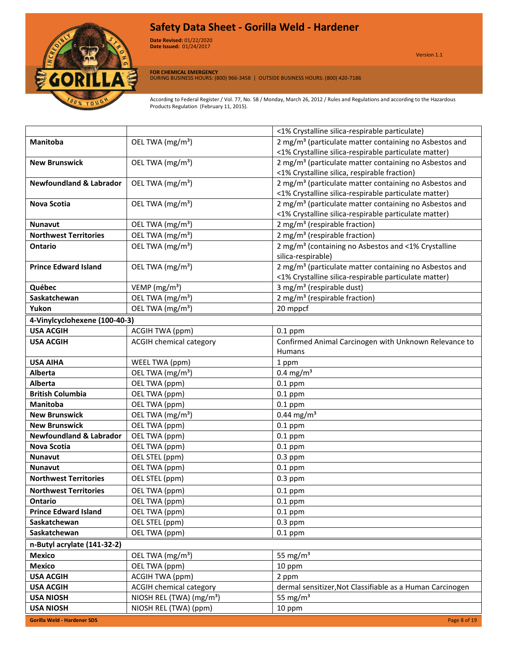

**Date Revised:** 01/22/2020 Version 1.0 **Date Issued:** 01/24/2017

**FOR CHEMICAL EMERGENCY** DURING BUSINESS HOURS: (800) 966-3458 | OUTSIDE BUSINESS HOURS: (800) 420-7186

|                                    |                                      | <1% Crystalline silica-respirable particulate)                     |  |  |  |  |
|------------------------------------|--------------------------------------|--------------------------------------------------------------------|--|--|--|--|
| <b>Manitoba</b>                    | OEL TWA (mg/m <sup>3</sup> )         | 2 mg/m <sup>3</sup> (particulate matter containing no Asbestos and |  |  |  |  |
|                                    |                                      | <1% Crystalline silica-respirable particulate matter)              |  |  |  |  |
| <b>New Brunswick</b>               | OEL TWA (mg/m <sup>3</sup> )         | 2 mg/m <sup>3</sup> (particulate matter containing no Asbestos and |  |  |  |  |
|                                    |                                      | <1% Crystalline silica, respirable fraction)                       |  |  |  |  |
| <b>Newfoundland &amp; Labrador</b> | OEL TWA (mg/m <sup>3</sup> )         | 2 mg/m <sup>3</sup> (particulate matter containing no Asbestos and |  |  |  |  |
|                                    |                                      | <1% Crystalline silica-respirable particulate matter)              |  |  |  |  |
| <b>Nova Scotia</b>                 | OEL TWA (mg/m <sup>3</sup> )         | 2 mg/m <sup>3</sup> (particulate matter containing no Asbestos and |  |  |  |  |
|                                    |                                      | <1% Crystalline silica-respirable particulate matter)              |  |  |  |  |
| <b>Nunavut</b>                     | OEL TWA (mg/m <sup>3</sup> )         | 2 mg/m <sup>3</sup> (respirable fraction)                          |  |  |  |  |
| <b>Northwest Territories</b>       | OEL TWA (mg/m <sup>3</sup> )         | 2 mg/m <sup>3</sup> (respirable fraction)                          |  |  |  |  |
| Ontario                            | OEL TWA (mg/m <sup>3</sup> )         | 2 mg/m <sup>3</sup> (containing no Asbestos and <1% Crystalline    |  |  |  |  |
|                                    |                                      | silica-respirable)                                                 |  |  |  |  |
| <b>Prince Edward Island</b>        | OEL TWA (mg/m <sup>3</sup> )         | 2 mg/m <sup>3</sup> (particulate matter containing no Asbestos and |  |  |  |  |
|                                    |                                      | <1% Crystalline silica-respirable particulate matter)              |  |  |  |  |
| Québec                             | VEMP ( $mg/m3$ )                     | 3 mg/m <sup>3</sup> (respirable dust)                              |  |  |  |  |
| Saskatchewan                       | OEL TWA (mg/m <sup>3</sup> )         | 2 mg/m <sup>3</sup> (respirable fraction)                          |  |  |  |  |
| Yukon                              | OEL TWA (mg/m <sup>3</sup> )         | 20 mppcf                                                           |  |  |  |  |
| 4-Vinylcyclohexene (100-40-3)      |                                      |                                                                    |  |  |  |  |
| <b>USA ACGIH</b>                   | ACGIH TWA (ppm)                      | $0.1$ ppm                                                          |  |  |  |  |
| <b>USA ACGIH</b>                   | <b>ACGIH chemical category</b>       | Confirmed Animal Carcinogen with Unknown Relevance to              |  |  |  |  |
|                                    |                                      | <b>Humans</b>                                                      |  |  |  |  |
| <b>USA AIHA</b>                    | WEEL TWA (ppm)                       | 1 ppm                                                              |  |  |  |  |
| Alberta                            | OEL TWA (mg/m <sup>3</sup> )         | $0.4$ mg/m <sup>3</sup>                                            |  |  |  |  |
| <b>Alberta</b>                     | OEL TWA (ppm)                        | $0.1$ ppm                                                          |  |  |  |  |
| <b>British Columbia</b>            | OEL TWA (ppm)                        | $0.1$ ppm                                                          |  |  |  |  |
| <b>Manitoba</b>                    | OEL TWA (ppm)                        | $0.1$ ppm                                                          |  |  |  |  |
| <b>New Brunswick</b>               | OEL TWA (mg/m <sup>3</sup> )         | $0.44$ mg/m <sup>3</sup>                                           |  |  |  |  |
| <b>New Brunswick</b>               | OEL TWA (ppm)                        | $0.1$ ppm                                                          |  |  |  |  |
| <b>Newfoundland &amp; Labrador</b> | OEL TWA (ppm)                        | $0.1$ ppm                                                          |  |  |  |  |
| <b>Nova Scotia</b>                 | OEL TWA (ppm)                        | $0.1$ ppm                                                          |  |  |  |  |
| <b>Nunavut</b>                     | OEL STEL (ppm)                       | $0.3$ ppm                                                          |  |  |  |  |
| <b>Nunavut</b>                     | OEL TWA (ppm)                        | $0.1$ ppm                                                          |  |  |  |  |
| <b>Northwest Territories</b>       | OEL STEL (ppm)                       | $0.3$ ppm                                                          |  |  |  |  |
| <b>Northwest Territories</b>       | OEL TWA (ppm)                        | $0.1$ ppm                                                          |  |  |  |  |
| Ontario                            | OEL TWA (ppm)                        | $0.1$ ppm                                                          |  |  |  |  |
| <b>Prince Edward Island</b>        | OEL TWA (ppm)                        | $0.1$ ppm                                                          |  |  |  |  |
| Saskatchewan                       | OEL STEL (ppm)                       | $0.3$ ppm                                                          |  |  |  |  |
| Saskatchewan                       | OEL TWA (ppm)                        | $0.1$ ppm                                                          |  |  |  |  |
| n-Butyl acrylate (141-32-2)        |                                      |                                                                    |  |  |  |  |
| <b>Mexico</b>                      | OEL TWA (mg/m <sup>3</sup> )         | 55 mg/ $m3$                                                        |  |  |  |  |
| <b>Mexico</b>                      | OEL TWA (ppm)                        | 10 ppm                                                             |  |  |  |  |
| <b>USA ACGIH</b>                   | ACGIH TWA (ppm)                      | 2 ppm                                                              |  |  |  |  |
| <b>USA ACGIH</b>                   | <b>ACGIH chemical category</b>       | dermal sensitizer, Not Classifiable as a Human Carcinogen          |  |  |  |  |
| <b>USA NIOSH</b>                   | NIOSH REL (TWA) (mg/m <sup>3</sup> ) | 55 mg/ $m3$                                                        |  |  |  |  |
| <b>USA NIOSH</b>                   | NIOSH REL (TWA) (ppm)                | 10 ppm                                                             |  |  |  |  |
| <b>Gorilla Weld - Hardener SDS</b> |                                      | Page 8 of 19                                                       |  |  |  |  |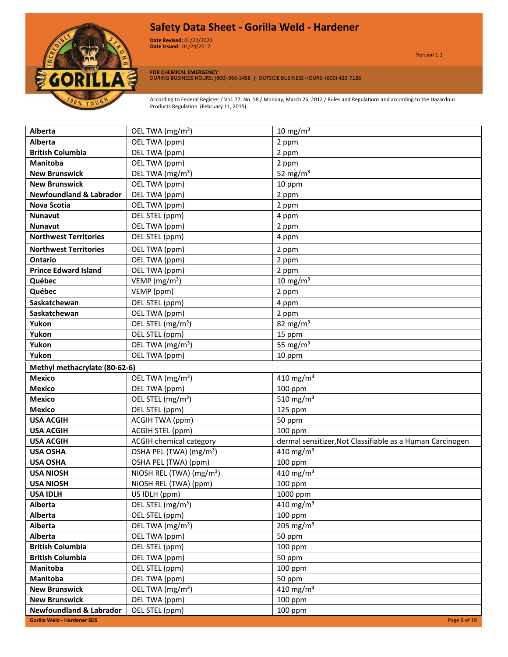

**Date Revised:** 01/22/2020 Version 1.0 **Date Issued:** 01/24/2017

Version 1.1

**FOR CHEMICAL EMERGENCY** DURING BUSINESS HOURS: (800) 966-3458 | OUTSIDE BUSINESS HOURS: (800) 420-7186

| Alberta                            | OEL TWA (mg/m <sup>3</sup> )         | 10 mg/m $3$                                               |
|------------------------------------|--------------------------------------|-----------------------------------------------------------|
| <b>Alberta</b>                     | OEL TWA (ppm)                        | 2 ppm                                                     |
| <b>British Columbia</b>            | OEL TWA (ppm)                        | 2 ppm                                                     |
| <b>Manitoba</b>                    | OEL TWA (ppm)                        | 2 ppm                                                     |
| <b>New Brunswick</b>               | OEL TWA (mg/m <sup>3</sup> )         | 52 mg/m $3$                                               |
| <b>New Brunswick</b>               | OEL TWA (ppm)                        | 10 ppm                                                    |
| <b>Newfoundland &amp; Labrador</b> | OEL TWA (ppm)                        | 2 ppm                                                     |
| <b>Nova Scotia</b>                 | OEL TWA (ppm)                        | 2 ppm                                                     |
| <b>Nunavut</b>                     | OEL STEL (ppm)                       | 4 ppm                                                     |
| <b>Nunavut</b>                     | OEL TWA (ppm)                        | 2 ppm                                                     |
| <b>Northwest Territories</b>       | OEL STEL (ppm)                       | 4 ppm                                                     |
| <b>Northwest Territories</b>       | OEL TWA (ppm)                        | 2 ppm                                                     |
| <b>Ontario</b>                     | OEL TWA (ppm)                        | 2 ppm                                                     |
| <b>Prince Edward Island</b>        | OEL TWA (ppm)                        | 2 ppm                                                     |
| Québec                             | VEMP ( $mg/m3$ )                     | $10 \text{ mg/m}^3$                                       |
| Québec                             | VEMP (ppm)                           | 2 ppm                                                     |
| Saskatchewan                       | OEL STEL (ppm)                       | 4 ppm                                                     |
| Saskatchewan                       | OEL TWA (ppm)                        | 2 ppm                                                     |
| Yukon                              | OEL STEL (mg/m <sup>3</sup> )        | 82 mg/m <sup>3</sup>                                      |
| Yukon                              | OEL STEL (ppm)                       | 15 ppm                                                    |
| Yukon                              | OEL TWA (mg/m <sup>3</sup> )         | 55 mg/ $m3$                                               |
| Yukon                              | OEL TWA (ppm)                        | 10 ppm                                                    |
| Methyl methacrylate (80-62-6)      |                                      |                                                           |
| <b>Mexico</b>                      | OEL TWA (mg/m <sup>3</sup> )         | 410 mg/m <sup>3</sup>                                     |
| <b>Mexico</b>                      | OEL TWA (ppm)                        | 100 ppm                                                   |
| <b>Mexico</b>                      | OEL STEL (mg/m <sup>3</sup> )        | 510 mg/m $3$                                              |
| <b>Mexico</b>                      | OEL STEL (ppm)                       | 125 ppm                                                   |
| <b>USA ACGIH</b>                   | ACGIH TWA (ppm)                      | 50 ppm                                                    |
| <b>USA ACGIH</b>                   | ACGIH STEL (ppm)                     | 100 ppm                                                   |
| <b>USA ACGIH</b>                   | <b>ACGIH chemical category</b>       | dermal sensitizer, Not Classifiable as a Human Carcinogen |
| <b>USA OSHA</b>                    | OSHA PEL (TWA) (mg/m <sup>3</sup> )  | 410 mg/m <sup>3</sup>                                     |
| <b>USA OSHA</b>                    | OSHA PEL (TWA) (ppm)                 | 100 ppm                                                   |
| <b>USA NIOSH</b>                   | NIOSH REL (TWA) (mg/m <sup>3</sup> ) | 410 mg/m <sup>3</sup>                                     |
| <b>USA NIOSH</b>                   | NIOSH REL (TWA) (ppm)                | 100 ppm                                                   |
| <b>USA IDLH</b>                    | US IDLH (ppm)                        | 1000 ppm                                                  |
| Alberta                            | OEL STEL (mg/m <sup>3</sup> )        | 410 mg/m $3$                                              |
| <b>Alberta</b>                     | OEL STEL (ppm)                       | 100 ppm                                                   |
| Alberta                            | OEL TWA (mg/m <sup>3</sup> )         | $205 \text{ mg/m}^3$                                      |
| Alberta                            | OEL TWA (ppm)                        | 50 ppm                                                    |
| <b>British Columbia</b>            | OEL STEL (ppm)                       | 100 ppm                                                   |
| <b>British Columbia</b>            | OEL TWA (ppm)                        | 50 ppm                                                    |
| Manitoba                           | OEL STEL (ppm)                       | 100 ppm                                                   |
| Manitoba                           | OEL TWA (ppm)                        | 50 ppm                                                    |
| <b>New Brunswick</b>               | OEL TWA (mg/m <sup>3</sup> )         | 410 mg/m <sup>3</sup>                                     |
| <b>New Brunswick</b>               | OEL TWA (ppm)                        | 100 ppm                                                   |
| <b>Newfoundland &amp; Labrador</b> | OEL STEL (ppm)                       | 100 ppm                                                   |
| <b>Gorilla Weld - Hardener SDS</b> |                                      | Page 9 of 19                                              |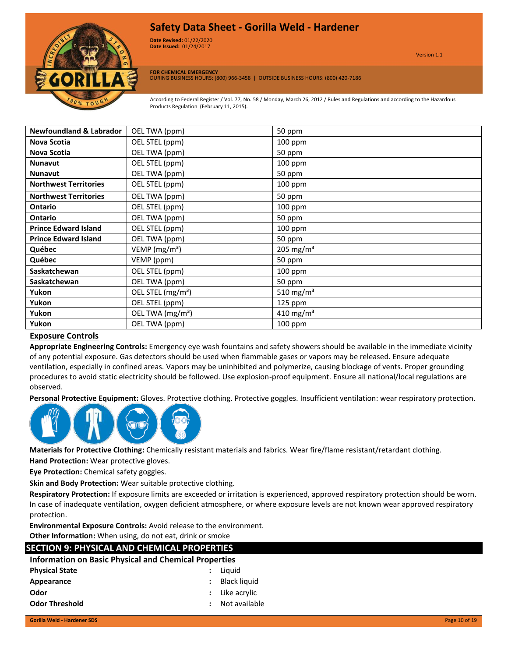

**Date Revised:** 01/22/2020 Version 1.0 **Date Issued:** 01/24/2017

**FOR CHEMICAL EMERGENCY** DURING BUSINESS HOURS: (800) 966-3458 | OUTSIDE BUSINESS HOURS: (800) 420-7186

According to Federal Register / Vol. 77, No. 58 / Monday, March 26, 2012 / Rules and Regulations and according to the Hazardous Products Regulation (February 11, 2015).

| <b>Newfoundland &amp; Labrador</b> | OEL TWA (ppm)                 | 50 ppm                |
|------------------------------------|-------------------------------|-----------------------|
| Nova Scotia                        | OEL STEL (ppm)                | 100 ppm               |
| Nova Scotia                        | OEL TWA (ppm)                 | 50 ppm                |
| <b>Nunavut</b>                     | OEL STEL (ppm)                | 100 ppm               |
| <b>Nunavut</b>                     | OEL TWA (ppm)                 | 50 ppm                |
| <b>Northwest Territories</b>       | OEL STEL (ppm)                | 100 ppm               |
| <b>Northwest Territories</b>       | OEL TWA (ppm)                 | 50 ppm                |
| <b>Ontario</b>                     | OEL STEL (ppm)                | 100 ppm               |
| Ontario                            | OEL TWA (ppm)                 | 50 ppm                |
| <b>Prince Edward Island</b>        | OEL STEL (ppm)                | 100 ppm               |
| <b>Prince Edward Island</b>        | OEL TWA (ppm)                 | 50 ppm                |
| Québec                             | VEMP ( $mg/m3$ )              | 205 mg/m <sup>3</sup> |
| Québec                             | VEMP (ppm)                    | 50 ppm                |
| Saskatchewan                       | OEL STEL (ppm)                | $100$ ppm             |
| Saskatchewan                       | OEL TWA (ppm)                 | 50 ppm                |
| Yukon                              | OEL STEL (mg/m <sup>3</sup> ) | 510 mg/m <sup>3</sup> |
| Yukon                              | OEL STEL (ppm)                | 125 ppm               |
| Yukon                              | OEL TWA (mg/m <sup>3</sup> )  | 410 mg/m <sup>3</sup> |
| Yukon                              | OEL TWA (ppm)                 | $100$ ppm             |

#### **Exposure Controls**

**Appropriate Engineering Controls:** Emergency eye wash fountains and safety showers should be available in the immediate vicinity of any potential exposure. Gas detectors should be used when flammable gases or vapors may be released. Ensure adequate ventilation, especially in confined areas. Vapors may be uninhibited and polymerize, causing blockage of vents. Proper grounding procedures to avoid static electricity should be followed. Use explosion-proof equipment. Ensure all national/local regulations are observed.

**Personal Protective Equipment:** Gloves. Protective clothing. Protective goggles. Insufficient ventilation: wear respiratory protection.



**Materials for Protective Clothing:** Chemically resistant materials and fabrics. Wear fire/flame resistant/retardant clothing.

**Hand Protection:** Wear protective gloves.

**Eye Protection:** Chemical safety goggles.

**Skin and Body Protection:** Wear suitable protective clothing.

**Respiratory Protection:** If exposure limits are exceeded or irritation is experienced, approved respiratory protection should be worn. In case of inadequate ventilation, oxygen deficient atmosphere, or where exposure levels are not known wear approved respiratory protection.

**Environmental Exposure Controls:** Avoid release to the environment.

**Other Information:** When using, do not eat, drink or smoke

### **SECTION 9: PHYSICAL AND CHEMICAL PROPERTIES**

| <b>Information on Basic Physical and Chemical Properties</b> |  |  |  |  |
|--------------------------------------------------------------|--|--|--|--|
|                                                              |  |  |  |  |

| <b>Physical State</b> | : Liguid         |
|-----------------------|------------------|
| Appearance            | : Black liquid   |
| Odor                  | $:$ Like acrylic |
| <b>Odor Threshold</b> | Not available    |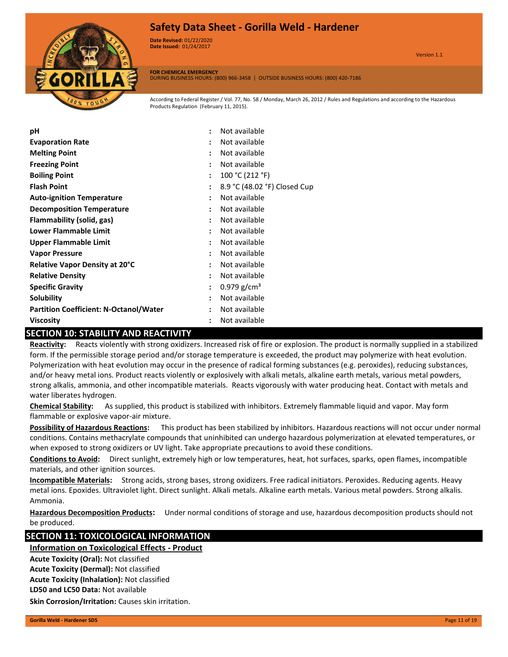

**Date Revised:** 01/22/2020 Version 1.0 **Date Issued:** 01/24/2017

**FOR CHEMICAL EMERGENCY** DURING BUSINESS HOURS: (800) 966-3458 | OUTSIDE BUSINESS HOURS: (800) 420-7186

According to Federal Register / Vol. 77, No. 58 / Monday, March 26, 2012 / Rules and Regulations and according to the Hazardous Products Regulation (February 11, 2015).

| рH                                            | Not available                                        |
|-----------------------------------------------|------------------------------------------------------|
| <b>Evaporation Rate</b>                       | Not available<br>٠                                   |
| <b>Melting Point</b>                          | Not available                                        |
| <b>Freezing Point</b>                         | Not available                                        |
| <b>Boiling Point</b>                          | 100 °C (212 °F)<br>÷                                 |
| <b>Flash Point</b>                            | 8.9 °C (48.02 °F) Closed Cup<br>$\ddot{\phantom{a}}$ |
| <b>Auto-ignition Temperature</b>              | Not available<br>$\ddot{\phantom{a}}$                |
| <b>Decomposition Temperature</b>              | Not available                                        |
| Flammability (solid, gas)                     | Not available<br>$\ddot{\phantom{a}}$                |
| Lower Flammable Limit                         | Not available<br>$\ddot{\phantom{a}}$                |
| <b>Upper Flammable Limit</b>                  | Not available<br>$\ddot{\phantom{a}}$                |
| <b>Vapor Pressure</b>                         | Not available<br>÷                                   |
| <b>Relative Vapor Density at 20°C</b>         | Not available                                        |
| <b>Relative Density</b>                       | Not available                                        |
| <b>Specific Gravity</b>                       | $0.979$ g/cm <sup>3</sup><br>$\ddot{\phantom{a}}$    |
| <b>Solubility</b>                             | Not available<br>$\ddot{\phantom{a}}$                |
| <b>Partition Coefficient: N-Octanol/Water</b> | Not available                                        |
| Viscosity                                     | Not available                                        |

### **SECTION 10: STABILITY AND REACTIVITY**

**Reactivity:** Reacts violently with strong oxidizers. Increased risk of fire or explosion. The product is normally supplied in a stabilized form. If the permissible storage period and/or storage temperature is exceeded, the product may polymerize with heat evolution. Polymerization with heat evolution may occur in the presence of radical forming substances (e.g. peroxides), reducing substances, and/or heavy metal ions. Product reacts violently or explosively with alkali metals, alkaline earth metals, various metal powders, strong alkalis, ammonia, and other incompatible materials. Reacts vigorously with water producing heat. Contact with metals and water liberates hydrogen.

**Chemical Stability:** As supplied, this product is stabilized with inhibitors. Extremely flammable liquid and vapor. May form flammable or explosive vapor-air mixture.

**Possibility of Hazardous Reactions:** This product has been stabilized by inhibitors. Hazardous reactions will not occur under normal conditions. Contains methacrylate compounds that uninhibited can undergo hazardous polymerization at elevated temperatures, or when exposed to strong oxidizers or UV light. Take appropriate precautions to avoid these conditions.

**Conditions to Avoid:** Direct sunlight, extremely high or low temperatures, heat, hot surfaces, sparks, open flames, incompatible materials, and other ignition sources.

**Incompatible Materials:** Strong acids, strong bases, strong oxidizers. Free radical initiators. Peroxides. Reducing agents. Heavy metal ions. Epoxides. Ultraviolet light. Direct sunlight. Alkali metals. Alkaline earth metals. Various metal powders. Strong alkalis. Ammonia.

**Hazardous Decomposition Products:** Under normal conditions of storage and use, hazardous decomposition products should not be produced.

### **SECTION 11: TOXICOLOGICAL INFORMATION**

**Information on Toxicological Effects - Product**

**LD50 and LC50 Data:** Not available **Acute Toxicity (Oral):** Not classified **Acute Toxicity (Dermal):** Not classified **Acute Toxicity (Inhalation):** Not classified

**Skin Corrosion/Irritation:** Causes skin irritation.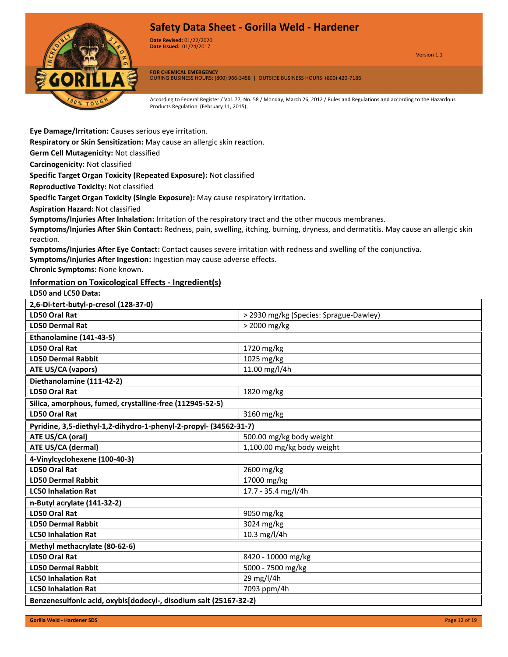

**Date Revised:** 01/22/2020 Version 1.0 **Date Issued:** 01/24/2017

Version 1.1

**FOR CHEMICAL EMERGENCY** DURING BUSINESS HOURS: (800) 966-3458 | OUTSIDE BUSINESS HOURS: (800) 420-7186

According to Federal Register / Vol. 77, No. 58 / Monday, March 26, 2012 / Rules and Regulations and according to the Hazardous Products Regulation (February 11, 2015).

**Eye Damage/Irritation:** Causes serious eye irritation.

**Respiratory or Skin Sensitization:** May cause an allergic skin reaction.

**Germ Cell Mutagenicity:** Not classified

**Carcinogenicity:** Not classified

**Specific Target Organ Toxicity (Repeated Exposure):** Not classified

**Reproductive Toxicity:** Not classified

**Specific Target Organ Toxicity (Single Exposure):** May cause respiratory irritation.

**Aspiration Hazard:** Not classified

**Symptoms/Injuries After Inhalation:** Irritation of the respiratory tract and the other mucous membranes.

**Symptoms/Injuries After Skin Contact:** Redness, pain, swelling, itching, burning, dryness, and dermatitis. May cause an allergic skin reaction.

**Symptoms/Injuries After Eye Contact:** Contact causes severe irritation with redness and swelling of the conjunctiva.

**Symptoms/Injuries After Ingestion:** Ingestion may cause adverse effects.

**Chronic Symptoms:** None known.

#### **Information on Toxicological Effects - Ingredient(s)**

**LD50 and LC50 Data:**

| 2,6-Di-tert-butyl-p-cresol (128-37-0)                             |                                        |  |
|-------------------------------------------------------------------|----------------------------------------|--|
| <b>LD50 Oral Rat</b>                                              | > 2930 mg/kg (Species: Sprague-Dawley) |  |
| <b>LD50 Dermal Rat</b>                                            | > 2000 mg/kg                           |  |
| Ethanolamine (141-43-5)                                           |                                        |  |
| <b>LD50 Oral Rat</b>                                              | 1720 mg/kg                             |  |
| <b>LD50 Dermal Rabbit</b>                                         | 1025 mg/kg                             |  |
| <b>ATE US/CA (vapors)</b>                                         | 11.00 mg/l/4h                          |  |
| Diethanolamine (111-42-2)                                         |                                        |  |
| <b>LD50 Oral Rat</b>                                              | 1820 mg/kg                             |  |
| Silica, amorphous, fumed, crystalline-free (112945-52-5)          |                                        |  |
| <b>LD50 Oral Rat</b>                                              | 3160 mg/kg                             |  |
| Pyridine, 3,5-diethyl-1,2-dihydro-1-phenyl-2-propyl- (34562-31-7) |                                        |  |
| ATE US/CA (oral)                                                  | 500.00 mg/kg body weight               |  |
| ATE US/CA (dermal)                                                | 1,100.00 mg/kg body weight             |  |
| 4-Vinylcyclohexene (100-40-3)                                     |                                        |  |
|                                                                   |                                        |  |
| <b>LD50 Oral Rat</b>                                              | 2600 mg/kg                             |  |
| <b>LD50 Dermal Rabbit</b>                                         | 17000 mg/kg                            |  |
| <b>LC50 Inhalation Rat</b>                                        | 17.7 - 35.4 mg/l/4h                    |  |
| n-Butyl acrylate (141-32-2)                                       |                                        |  |
| <b>LD50 Oral Rat</b>                                              | 9050 mg/kg                             |  |
| <b>LD50 Dermal Rabbit</b>                                         | 3024 mg/kg                             |  |
| <b>LC50 Inhalation Rat</b>                                        | 10.3 mg/l/4h                           |  |
| Methyl methacrylate (80-62-6)                                     |                                        |  |
| <b>LD50 Oral Rat</b>                                              | 8420 - 10000 mg/kg                     |  |
| <b>LD50 Dermal Rabbit</b>                                         | 5000 - 7500 mg/kg                      |  |
| <b>LC50 Inhalation Rat</b>                                        | 29 mg/l/4h                             |  |
| <b>LC50 Inhalation Rat</b>                                        | 7093 ppm/4h                            |  |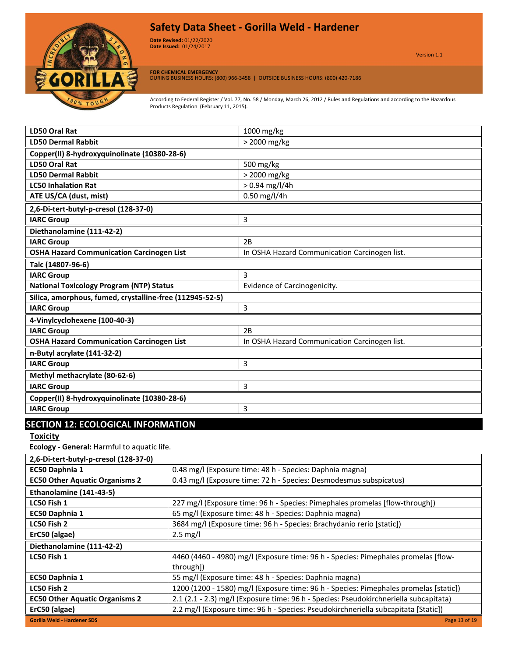

**Date Revised:** 01/22/2020 Version 1.0 **Date Issued:** 01/24/2017

Version 1.1

**FOR CHEMICAL EMERGENCY** DURING BUSINESS HOURS: (800) 966-3458 | OUTSIDE BUSINESS HOURS: (800) 420-7186

According to Federal Register / Vol. 77, No. 58 / Monday, March 26, 2012 / Rules and Regulations and according to the Hazardous Products Regulation (February 11, 2015).

| LD50 Oral Rat                                            | 1000 mg/kg                                    |  |
|----------------------------------------------------------|-----------------------------------------------|--|
| <b>LD50 Dermal Rabbit</b>                                | > 2000 mg/kg                                  |  |
| Copper(II) 8-hydroxyquinolinate (10380-28-6)             |                                               |  |
| LD50 Oral Rat                                            | 500 mg/kg                                     |  |
| <b>LD50 Dermal Rabbit</b>                                | > 2000 mg/kg                                  |  |
| <b>LC50 Inhalation Rat</b>                               | $> 0.94$ mg/l/4h                              |  |
| ATE US/CA (dust, mist)                                   | $0.50$ mg/l/4h                                |  |
| 2,6-Di-tert-butyl-p-cresol (128-37-0)                    |                                               |  |
| <b>IARC Group</b>                                        | 3                                             |  |
| Diethanolamine (111-42-2)                                |                                               |  |
| <b>IARC Group</b>                                        | 2B                                            |  |
| <b>OSHA Hazard Communication Carcinogen List</b>         | In OSHA Hazard Communication Carcinogen list. |  |
| Talc (14807-96-6)                                        |                                               |  |
| <b>IARC Group</b>                                        | 3                                             |  |
| <b>National Toxicology Program (NTP) Status</b>          | Evidence of Carcinogenicity.                  |  |
| Silica, amorphous, fumed, crystalline-free (112945-52-5) |                                               |  |
| <b>IARC Group</b>                                        | $\overline{3}$                                |  |
| 4-Vinylcyclohexene (100-40-3)                            |                                               |  |
| <b>IARC Group</b>                                        | 2B                                            |  |
| <b>OSHA Hazard Communication Carcinogen List</b>         | In OSHA Hazard Communication Carcinogen list. |  |
| n-Butyl acrylate (141-32-2)                              |                                               |  |
| <b>IARC Group</b>                                        | 3                                             |  |
| Methyl methacrylate (80-62-6)                            |                                               |  |
| <b>IARC Group</b>                                        | 3                                             |  |
| Copper(II) 8-hydroxyquinolinate (10380-28-6)             |                                               |  |
| <b>IARC Group</b>                                        | 3                                             |  |
|                                                          |                                               |  |

### **SECTION 12: ECOLOGICAL INFORMATION**

**Toxicity**

**Ecology - General:** Harmful to aquatic life.

| 2,6-Di-tert-butyl-p-cresol (128-37-0) |                                                                                       |
|---------------------------------------|---------------------------------------------------------------------------------------|
| EC50 Daphnia 1                        | 0.48 mg/l (Exposure time: 48 h - Species: Daphnia magna)                              |
| <b>EC50 Other Aquatic Organisms 2</b> | 0.43 mg/l (Exposure time: 72 h - Species: Desmodesmus subspicatus)                    |
| Ethanolamine (141-43-5)               |                                                                                       |
| LC50 Fish 1                           | 227 mg/l (Exposure time: 96 h - Species: Pimephales promelas [flow-through])          |
| EC50 Daphnia 1                        | 65 mg/l (Exposure time: 48 h - Species: Daphnia magna)                                |
| LC50 Fish 2                           | 3684 mg/l (Exposure time: 96 h - Species: Brachydanio rerio [static])                 |
| ErC50 (algae)                         | $2.5 \text{ mg/l}$                                                                    |
| Diethanolamine (111-42-2)             |                                                                                       |
| LC50 Fish 1                           | 4460 (4460 - 4980) mg/l (Exposure time: 96 h - Species: Pimephales promelas [flow-    |
|                                       | through])                                                                             |
| EC50 Daphnia 1                        | 55 mg/l (Exposure time: 48 h - Species: Daphnia magna)                                |
| LC50 Fish 2                           | 1200 (1200 - 1580) mg/l (Exposure time: 96 h - Species: Pimephales promelas [static]) |
| <b>EC50 Other Aquatic Organisms 2</b> | 2.1 (2.1 - 2.3) mg/l (Exposure time: 96 h - Species: Pseudokirchneriella subcapitata) |
| ErC50 (algae)                         | 2.2 mg/l (Exposure time: 96 h - Species: Pseudokirchneriella subcapitata [Static])    |
| <b>Gorilla Weld - Hardener SDS</b>    | Page 13 of 19                                                                         |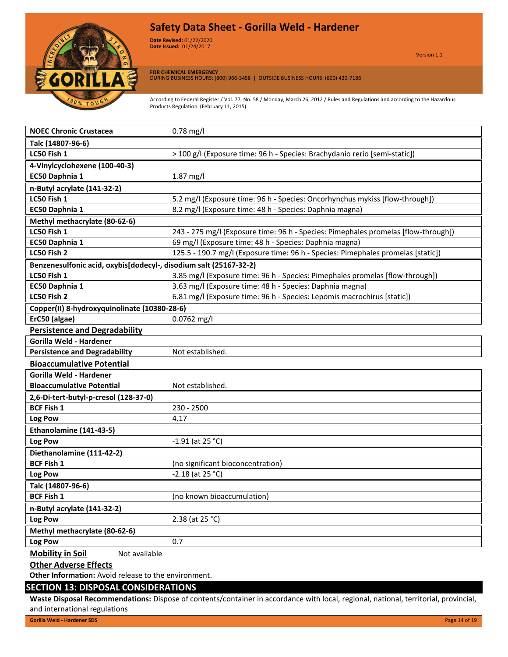

**Date Revised:** 01/22/2020 Version 1.0 **Date Issued:** 01/24/2017

Version 1.1

**FOR CHEMICAL EMERGENCY**

DURING BUSINESS HOURS: (800) 966-3458 | OUTSIDE BUSINESS HOURS: (800) 420-7186

According to Federal Register / Vol. 77, No. 58 / Monday, March 26, 2012 / Rules and Regulations and according to the Hazardous Products Regulation (February 11, 2015).

| <b>NOEC Chronic Crustacea</b>                                     | $0.78$ mg/l                                                                        |  |
|-------------------------------------------------------------------|------------------------------------------------------------------------------------|--|
| Talc (14807-96-6)                                                 |                                                                                    |  |
| LC50 Fish 1                                                       | > 100 g/l (Exposure time: 96 h - Species: Brachydanio rerio [semi-static])         |  |
| 4-Vinylcyclohexene (100-40-3)                                     |                                                                                    |  |
| EC50 Daphnia 1                                                    | 1.87 mg/l                                                                          |  |
| n-Butyl acrylate (141-32-2)                                       |                                                                                    |  |
| LC50 Fish 1                                                       | 5.2 mg/l (Exposure time: 96 h - Species: Oncorhynchus mykiss [flow-through])       |  |
| EC50 Daphnia 1                                                    | 8.2 mg/l (Exposure time: 48 h - Species: Daphnia magna)                            |  |
| Methyl methacrylate (80-62-6)                                     |                                                                                    |  |
| LC50 Fish 1                                                       | 243 - 275 mg/l (Exposure time: 96 h - Species: Pimephales promelas [flow-through]) |  |
| EC50 Daphnia 1                                                    | 69 mg/l (Exposure time: 48 h - Species: Daphnia magna)                             |  |
| LC50 Fish 2                                                       | 125.5 - 190.7 mg/l (Exposure time: 96 h - Species: Pimephales promelas [static])   |  |
| Benzenesulfonic acid, oxybis[dodecyl-, disodium salt (25167-32-2) |                                                                                    |  |
| LC50 Fish 1                                                       | 3.85 mg/l (Exposure time: 96 h - Species: Pimephales promelas [flow-through])      |  |
| EC50 Daphnia 1                                                    | 3.63 mg/l (Exposure time: 48 h - Species: Daphnia magna)                           |  |
| LC50 Fish 2                                                       | 6.81 mg/l (Exposure time: 96 h - Species: Lepomis macrochirus [static])            |  |
| Copper(II) 8-hydroxyquinolinate (10380-28-6)                      |                                                                                    |  |
| ErC50 (algae)                                                     | 0.0762 mg/l                                                                        |  |
| <b>Persistence and Degradability</b>                              |                                                                                    |  |
| Gorilla Weld - Hardener                                           |                                                                                    |  |
| <b>Persistence and Degradability</b>                              | Not established.                                                                   |  |
| <b>Bioaccumulative Potential</b>                                  |                                                                                    |  |
| Gorilla Weld - Hardener                                           |                                                                                    |  |
| <b>Bioaccumulative Potential</b>                                  | Not established.                                                                   |  |
| 2,6-Di-tert-butyl-p-cresol (128-37-0)                             |                                                                                    |  |
| <b>BCF Fish 1</b>                                                 | 230 - 2500                                                                         |  |
| Log Pow                                                           | 4.17                                                                               |  |
| Ethanolamine (141-43-5)                                           |                                                                                    |  |
| Log Pow                                                           | $-1.91$ (at 25 °C)                                                                 |  |
| Diethanolamine (111-42-2)                                         |                                                                                    |  |
| <b>BCF Fish 1</b>                                                 | (no significant bioconcentration)                                                  |  |
| Log Pow                                                           | $-2.18$ (at 25 °C)                                                                 |  |
| Talc (14807-96-6)                                                 |                                                                                    |  |
| <b>BCF Fish 1</b>                                                 | (no known bioaccumulation)                                                         |  |
| n-Butyl acrylate (141-32-2)                                       |                                                                                    |  |
| Log Pow                                                           | 2.38 (at 25 °C)                                                                    |  |
| Methyl methacrylate (80-62-6)                                     |                                                                                    |  |
| Log Pow                                                           | 0.7                                                                                |  |
| <b>Mobility in Soil</b><br>Not available                          |                                                                                    |  |
| <b>Other Adverse Effects</b>                                      |                                                                                    |  |
| Other Information: Avoid release to the environment.              |                                                                                    |  |

#### **SECTION 13: DISPOSAL CONSIDERATIONS**

**Waste Disposal Recommendations:** Dispose of contents/container in accordance with local, regional, national, territorial, provincial, and international regulations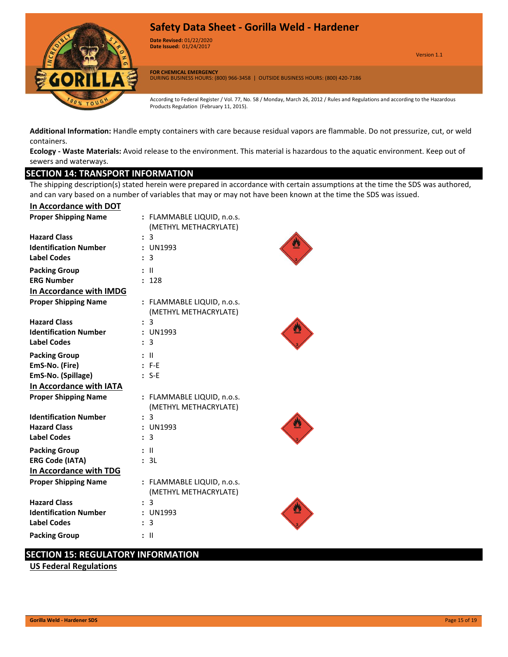

**Date Revised:** 01/22/2020 Version 1.0 **Date Issued:** 01/24/2017

Version 1.1

**FOR CHEMICAL EMERGENCY** DURING BUSINESS HOURS: (800) 966-3458 | OUTSIDE BUSINESS HOURS: (800) 420-7186

According to Federal Register / Vol. 77, No. 58 / Monday, March 26, 2012 / Rules and Regulations and according to the Hazardous Products Regulation (February 11, 2015).

**Additional Information:** Handle empty containers with care because residual vapors are flammable. Do not pressurize, cut, or weld containers.

**Ecology - Waste Materials:** Avoid release to the environment. This material is hazardous to the aquatic environment. Keep out of sewers and waterways.

#### **SECTION 14: TRANSPORT INFORMATION**

The shipping description(s) stated herein were prepared in accordance with certain assumptions at the time the SDS was authored, and can vary based on a number of variables that may or may not have been known at the time the SDS was issued.

| In Accordance with DOT       |                                                     |  |
|------------------------------|-----------------------------------------------------|--|
| <b>Proper Shipping Name</b>  | : FLAMMABLE LIQUID, n.o.s.<br>(METHYL METHACRYLATE) |  |
| <b>Hazard Class</b>          | 3                                                   |  |
| <b>Identification Number</b> | <b>UN1993</b>                                       |  |
| <b>Label Codes</b>           | 3                                                   |  |
| <b>Packing Group</b>         | - 11                                                |  |
| <b>ERG Number</b>            | 128                                                 |  |
| In Accordance with IMDG      |                                                     |  |
| <b>Proper Shipping Name</b>  | : FLAMMABLE LIQUID, n.o.s.<br>(METHYL METHACRYLATE) |  |
| <b>Hazard Class</b>          | 3                                                   |  |
| <b>Identification Number</b> | UN1993                                              |  |
| <b>Label Codes</b>           | 3                                                   |  |
| <b>Packing Group</b>         | Ш                                                   |  |
| EmS-No. (Fire)               | F-F                                                 |  |
| EmS-No. (Spillage)           | $S-E$                                               |  |
| In Accordance with IATA      |                                                     |  |
| <b>Proper Shipping Name</b>  | : FLAMMABLE LIQUID, n.o.s.<br>(METHYL METHACRYLATE) |  |
| <b>Identification Number</b> | 3                                                   |  |
| <b>Hazard Class</b>          | <b>UN1993</b>                                       |  |
| <b>Label Codes</b>           | 3                                                   |  |
| <b>Packing Group</b>         | - 11                                                |  |
| <b>ERG Code (IATA)</b>       | 3L                                                  |  |
| In Accordance with TDG       |                                                     |  |
| <b>Proper Shipping Name</b>  | : FLAMMABLE LIQUID, n.o.s.<br>(METHYL METHACRYLATE) |  |
| <b>Hazard Class</b>          | 3                                                   |  |
| <b>Identification Number</b> | <b>UN1993</b>                                       |  |
| <b>Label Codes</b>           | 3                                                   |  |
| <b>Packing Group</b>         | Ш                                                   |  |

### **SECTION 15: REGULATORY INFORMATION**

**US Federal Regulations**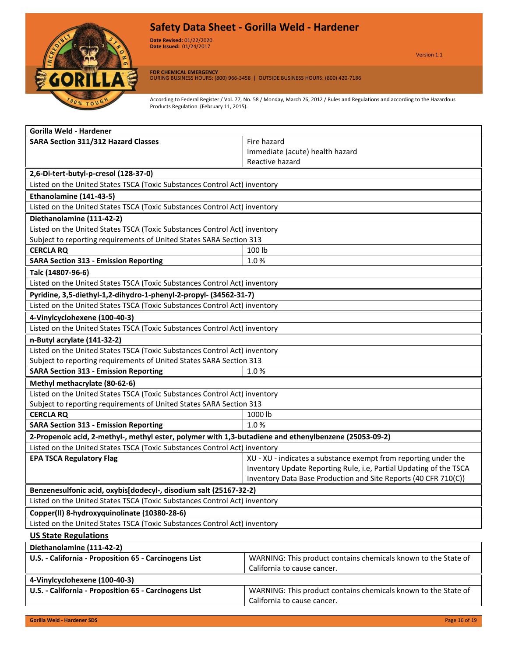

**Date Revised:** 01/22/2020 Version 1.0 **Date Issued:** 01/24/2017

Version 1.1

**FOR CHEMICAL EMERGENCY** DURING BUSINESS HOURS: (800) 966-3458 | OUTSIDE BUSINESS HOURS: (800) 420-7186

| Gorilla Weld - Hardener                                                                               |                                                                    |  |
|-------------------------------------------------------------------------------------------------------|--------------------------------------------------------------------|--|
| <b>SARA Section 311/312 Hazard Classes</b>                                                            | Fire hazard                                                        |  |
|                                                                                                       | Immediate (acute) health hazard                                    |  |
|                                                                                                       | Reactive hazard                                                    |  |
| 2,6-Di-tert-butyl-p-cresol (128-37-0)                                                                 |                                                                    |  |
| Listed on the United States TSCA (Toxic Substances Control Act) inventory                             |                                                                    |  |
| Ethanolamine (141-43-5)                                                                               |                                                                    |  |
| Listed on the United States TSCA (Toxic Substances Control Act) inventory                             |                                                                    |  |
| Diethanolamine (111-42-2)                                                                             |                                                                    |  |
| Listed on the United States TSCA (Toxic Substances Control Act) inventory                             |                                                                    |  |
| Subject to reporting requirements of United States SARA Section 313                                   |                                                                    |  |
| <b>CERCLA RQ</b>                                                                                      | 100 lb                                                             |  |
| <b>SARA Section 313 - Emission Reporting</b>                                                          | 1.0%                                                               |  |
| Talc (14807-96-6)                                                                                     |                                                                    |  |
| Listed on the United States TSCA (Toxic Substances Control Act) inventory                             |                                                                    |  |
| Pyridine, 3,5-diethyl-1,2-dihydro-1-phenyl-2-propyl- (34562-31-7)                                     |                                                                    |  |
| Listed on the United States TSCA (Toxic Substances Control Act) inventory                             |                                                                    |  |
| 4-Vinylcyclohexene (100-40-3)                                                                         |                                                                    |  |
| Listed on the United States TSCA (Toxic Substances Control Act) inventory                             |                                                                    |  |
| n-Butyl acrylate (141-32-2)                                                                           |                                                                    |  |
| Listed on the United States TSCA (Toxic Substances Control Act) inventory                             |                                                                    |  |
| Subject to reporting requirements of United States SARA Section 313                                   |                                                                    |  |
| <b>SARA Section 313 - Emission Reporting</b>                                                          | 1.0%                                                               |  |
| Methyl methacrylate (80-62-6)                                                                         |                                                                    |  |
| Listed on the United States TSCA (Toxic Substances Control Act) inventory                             |                                                                    |  |
| Subject to reporting requirements of United States SARA Section 313                                   |                                                                    |  |
| <b>CERCLA RQ</b>                                                                                      | 1000 lb                                                            |  |
| <b>SARA Section 313 - Emission Reporting</b>                                                          | 1.0%                                                               |  |
| 2-Propenoic acid, 2-methyl-, methyl ester, polymer with 1,3-butadiene and ethenylbenzene (25053-09-2) |                                                                    |  |
| Listed on the United States TSCA (Toxic Substances Control Act) inventory                             |                                                                    |  |
| <b>EPA TSCA Regulatory Flag</b>                                                                       | XU - XU - indicates a substance exempt from reporting under the    |  |
|                                                                                                       | Inventory Update Reporting Rule, i.e, Partial Updating of the TSCA |  |
|                                                                                                       | Inventory Data Base Production and Site Reports (40 CFR 710(C))    |  |
| Benzenesulfonic acid, oxybis[dodecyl-, disodium salt (25167-32-2)                                     |                                                                    |  |
| Listed on the United States TSCA (Toxic Substances Control Act) inventory                             |                                                                    |  |
| Copper(II) 8-hydroxyquinolinate (10380-28-6)                                                          |                                                                    |  |
| Listed on the United States TSCA (Toxic Substances Control Act) inventory                             |                                                                    |  |
| <b>US State Regulations</b>                                                                           |                                                                    |  |
| Diethanolamine (111-42-2)                                                                             |                                                                    |  |
| U.S. - California - Proposition 65 - Carcinogens List                                                 | WARNING: This product contains chemicals known to the State of     |  |
|                                                                                                       | California to cause cancer.                                        |  |
| 4-Vinylcyclohexene (100-40-3)                                                                         |                                                                    |  |
| U.S. - California - Proposition 65 - Carcinogens List                                                 | WARNING: This product contains chemicals known to the State of     |  |
|                                                                                                       | California to cause cancer.                                        |  |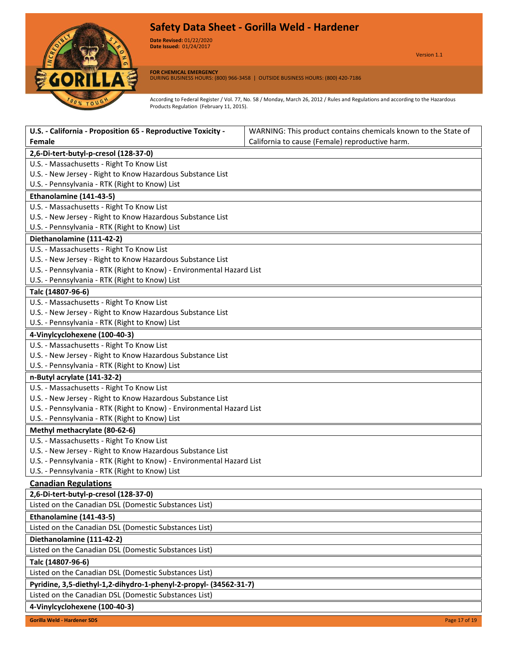

**Date Revised:** 01/22/2020 Version 1.0 **Date Issued:** 01/24/2017

Version 1.1

**FOR CHEMICAL EMERGENCY** DURING BUSINESS HOURS: (800) 966-3458 | OUTSIDE BUSINESS HOURS: (800) 420-7186

| U.S. - California - Proposition 65 - Reproductive Toxicity -          | WARNING: This product contains chemicals known to the State of |  |
|-----------------------------------------------------------------------|----------------------------------------------------------------|--|
| Female                                                                | California to cause (Female) reproductive harm.                |  |
| 2,6-Di-tert-butyl-p-cresol (128-37-0)                                 |                                                                |  |
| U.S. - Massachusetts - Right To Know List                             |                                                                |  |
| U.S. - New Jersey - Right to Know Hazardous Substance List            |                                                                |  |
| U.S. - Pennsylvania - RTK (Right to Know) List                        |                                                                |  |
| Ethanolamine (141-43-5)                                               |                                                                |  |
| U.S. - Massachusetts - Right To Know List                             |                                                                |  |
| U.S. - New Jersey - Right to Know Hazardous Substance List            |                                                                |  |
| U.S. - Pennsylvania - RTK (Right to Know) List                        |                                                                |  |
| Diethanolamine (111-42-2)                                             |                                                                |  |
| U.S. - Massachusetts - Right To Know List                             |                                                                |  |
| U.S. - New Jersey - Right to Know Hazardous Substance List            |                                                                |  |
| U.S. - Pennsylvania - RTK (Right to Know) - Environmental Hazard List |                                                                |  |
| U.S. - Pennsylvania - RTK (Right to Know) List                        |                                                                |  |
| Talc (14807-96-6)                                                     |                                                                |  |
| U.S. - Massachusetts - Right To Know List                             |                                                                |  |
| U.S. - New Jersey - Right to Know Hazardous Substance List            |                                                                |  |
| U.S. - Pennsylvania - RTK (Right to Know) List                        |                                                                |  |
| 4-Vinylcyclohexene (100-40-3)                                         |                                                                |  |
| U.S. - Massachusetts - Right To Know List                             |                                                                |  |
| U.S. - New Jersey - Right to Know Hazardous Substance List            |                                                                |  |
| U.S. - Pennsylvania - RTK (Right to Know) List                        |                                                                |  |
| n-Butyl acrylate (141-32-2)                                           |                                                                |  |
| U.S. - Massachusetts - Right To Know List                             |                                                                |  |
| U.S. - New Jersey - Right to Know Hazardous Substance List            |                                                                |  |
| U.S. - Pennsylvania - RTK (Right to Know) - Environmental Hazard List |                                                                |  |
| U.S. - Pennsylvania - RTK (Right to Know) List                        |                                                                |  |
| Methyl methacrylate (80-62-6)                                         |                                                                |  |
| U.S. - Massachusetts - Right To Know List                             |                                                                |  |
| U.S. - New Jersey - Right to Know Hazardous Substance List            |                                                                |  |
| U.S. - Pennsylvania - RTK (Right to Know) - Environmental Hazard List |                                                                |  |
| U.S. - Pennsylvania - RTK (Right to Know) List                        |                                                                |  |
| <b>Canadian Regulations</b>                                           |                                                                |  |
| 2,6-Di-tert-butyl-p-cresol (128-37-0)                                 |                                                                |  |
| Listed on the Canadian DSL (Domestic Substances List)                 |                                                                |  |
| Ethanolamine (141-43-5)                                               |                                                                |  |
| Listed on the Canadian DSL (Domestic Substances List)                 |                                                                |  |
| Diethanolamine (111-42-2)                                             |                                                                |  |
| Listed on the Canadian DSL (Domestic Substances List)                 |                                                                |  |
| Talc (14807-96-6)                                                     |                                                                |  |
| Listed on the Canadian DSL (Domestic Substances List)                 |                                                                |  |
| Pyridine, 3,5-diethyl-1,2-dihydro-1-phenyl-2-propyl- (34562-31-7)     |                                                                |  |
| Listed on the Canadian DSL (Domestic Substances List)                 |                                                                |  |
| 4-Vinylcyclohexene (100-40-3)                                         |                                                                |  |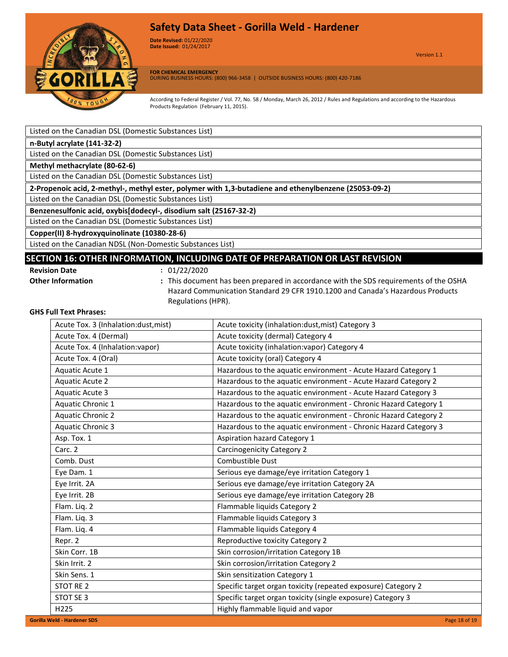

**Date Revised:** 01/22/2020 Version 1.0 **Date Issued:** 01/24/2017

Version 1.1

**FOR CHEMICAL EMERGENCY** DURING BUSINESS HOURS: (800) 966-3458 | OUTSIDE BUSINESS HOURS: (800) 420-7186

According to Federal Register / Vol. 77, No. 58 / Monday, March 26, 2012 / Rules and Regulations and according to the Hazardous Products Regulation (February 11, 2015).

| Listed on the Canadian DSL (Domestic Substances List)                                                 |
|-------------------------------------------------------------------------------------------------------|
| n-Butyl acrylate (141-32-2)                                                                           |
| Listed on the Canadian DSL (Domestic Substances List)                                                 |
| Methyl methacrylate (80-62-6)                                                                         |
| Listed on the Canadian DSL (Domestic Substances List)                                                 |
| 2-Propenoic acid, 2-methyl-, methyl ester, polymer with 1,3-butadiene and ethenylbenzene (25053-09-2) |
| Listed on the Canadian DSL (Domestic Substances List)                                                 |
| Benzenesulfonic acid, oxybis[dodecyl-, disodium salt (25167-32-2)                                     |
| Listed on the Canadian DSL (Domestic Substances List)                                                 |
| Copper(II) 8-hydroxyquinolinate (10380-28-6)                                                          |
| Listed on the Canadian NDSL (Non-Domestic Substances List)                                            |

# **SECTION 16: OTHER INFORMATION, INCLUDING DATE OF PREPARATION OR LAST REVISION**

- **Revision Date :** 01/22/2020
- 
- 
- 
- **Other Information :** This document has been prepared in accordance with the SDS requirements of the OSHA Hazard Communication Standard 29 CFR 1910.1200 and Canada's Hazardous Products Regulations (HPR).

#### **GHS Full Text Phrases:**

| Acute Tox. 3 (Inhalation:dust, mist) | Acute toxicity (inhalation:dust, mist) Category 3                |
|--------------------------------------|------------------------------------------------------------------|
| Acute Tox. 4 (Dermal)                | Acute toxicity (dermal) Category 4                               |
| Acute Tox. 4 (Inhalation: vapor)     | Acute toxicity (inhalation: vapor) Category 4                    |
| Acute Tox. 4 (Oral)                  | Acute toxicity (oral) Category 4                                 |
| Aquatic Acute 1                      | Hazardous to the aquatic environment - Acute Hazard Category 1   |
| <b>Aquatic Acute 2</b>               | Hazardous to the aquatic environment - Acute Hazard Category 2   |
| Aquatic Acute 3                      | Hazardous to the aquatic environment - Acute Hazard Category 3   |
| Aquatic Chronic 1                    | Hazardous to the aquatic environment - Chronic Hazard Category 1 |
| <b>Aquatic Chronic 2</b>             | Hazardous to the aquatic environment - Chronic Hazard Category 2 |
| <b>Aquatic Chronic 3</b>             | Hazardous to the aquatic environment - Chronic Hazard Category 3 |
| Asp. Tox. 1                          | Aspiration hazard Category 1                                     |
| Carc. 2                              | <b>Carcinogenicity Category 2</b>                                |
| Comb. Dust                           | Combustible Dust                                                 |
| Eye Dam. 1                           | Serious eye damage/eye irritation Category 1                     |
| Eye Irrit. 2A                        | Serious eye damage/eye irritation Category 2A                    |
| Eye Irrit. 2B                        | Serious eye damage/eye irritation Category 2B                    |
| Flam. Liq. 2                         | Flammable liquids Category 2                                     |
| Flam. Liq. 3                         | Flammable liquids Category 3                                     |
| Flam. Lig. 4                         | Flammable liquids Category 4                                     |
| Repr. 2                              | Reproductive toxicity Category 2                                 |
| Skin Corr. 1B                        | Skin corrosion/irritation Category 1B                            |
| Skin Irrit. 2                        | Skin corrosion/irritation Category 2                             |
| Skin Sens. 1                         | Skin sensitization Category 1                                    |
| STOT RE 2                            | Specific target organ toxicity (repeated exposure) Category 2    |
| STOT SE 3                            | Specific target organ toxicity (single exposure) Category 3      |
| H <sub>225</sub>                     | Highly flammable liquid and vapor                                |
| <b>Gorilla Weld - Hardener SDS</b>   | Page 18 of 19                                                    |